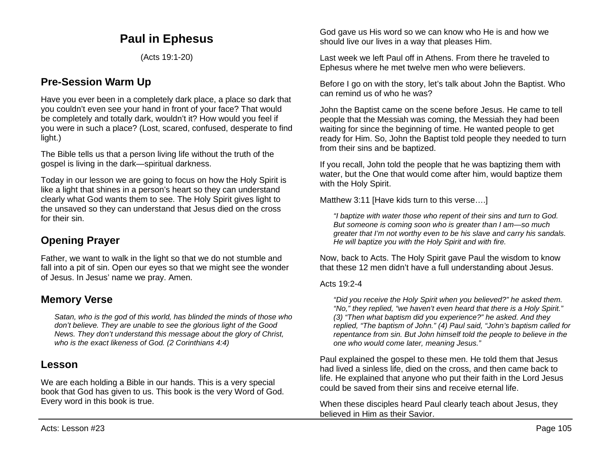# **Paul in Ephesus**

(Acts 19:1-20)

### **Pre-Session Warm Up**

Have you ever been in a completely dark place, a place so dark that you couldn't even see your hand in front of your face? That would be completely and totally dark, wouldn't it? How would you feel if you were in such a place? (Lost, scared, confused, desperate to find light.)

The Bible tells us that a person living life without the truth of the gospel is living in the dark—spiritual darkness.

Today in our lesson we are going to focus on how the Holy Spirit is like a light that shines in a person's heart so they can understand clearly what God wants them to see. The Holy Spirit gives light to the unsaved so they can understand that Jesus died on the cross for their sin.

## **Opening Prayer**

Father, we want to walk in the light so that we do not stumble and fall into a pit of sin. Open our eyes so that we might see the wonder of Jesus. In Jesus' name we pray. Amen.

### **Memory Verse**

*Satan, who is the god of this world, has blinded the minds of those who don't believe. They are unable to see the glorious light of the Good News. They don't understand this message about the glory of Christ, who is the exact likeness of God. (2 Corinthians 4:4)*

### **Lesson**

We are each holding a Bible in our hands. This is a very special book that God has given to us. This book is the very Word of God. Every word in this book is true.

God gave us His word so we can know who He is and how we should live our lives in a way that pleases Him.

Last week we left Paul off in Athens. From there he traveled to Ephesus where he met twelve men who were believers.

Before I go on with the story, let's talk about John the Baptist. Who can remind us of who he was?

John the Baptist came on the scene before Jesus. He came to tell people that the Messiah was coming, the Messiah they had been waiting for since the beginning of time. He wanted people to get ready for Him. So, John the Baptist told people they needed to turn from their sins and be baptized.

If you recall, John told the people that he was baptizing them with water, but the One that would come after him, would baptize them with the Holy Spirit.

Matthew 3:11 [Have kids turn to this verse….]

*"I baptize with water those who repent of their sins and turn to God. But someone is coming soon who is greater than I am—so much greater that I'm not worthy even to be his slave and carry his sandals. He will baptize you with the Holy Spirit and with fire.*

Now, back to Acts. The Holy Spirit gave Paul the wisdom to know that these 12 men didn't have a full understanding about Jesus.

Acts 19:2-4

*"Did you receive the Holy Spirit when you believed?" he asked them. "No," they replied, "we haven't even heard that there is a Holy Spirit." (3) "Then what baptism did you experience?" he asked. And they replied, "The baptism of John." (4) Paul said, "John's baptism called for repentance from sin. But John himself told the people to believe in the one who would come later, meaning Jesus."*

Paul explained the gospel to these men. He told them that Jesus had lived a sinless life, died on the cross, and then came back to life. He explained that anyone who put their faith in the Lord Jesus could be saved from their sins and receive eternal life.

When these disciples heard Paul clearly teach about Jesus, they believed in Him as their Savior.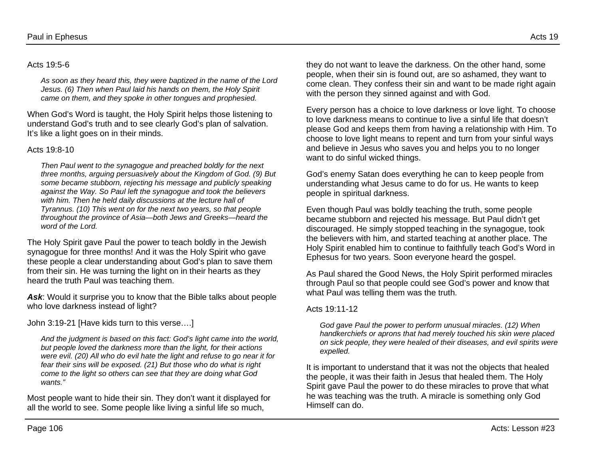#### Acts 19:5-6

*As soon as they heard this, they were baptized in the name of the Lord Jesus. (6) Then when Paul laid his hands on them, the Holy Spirit came on them, and they spoke in other tongues and prophesied.*

When God's Word is taught, the Holy Spirit helps those listening to understand God's truth and to see clearly God's plan of salvation. It's like a light goes on in their minds.

#### Acts 19:8-10

*Then Paul went to the synagogue and preached boldly for the next three months, arguing persuasively about the Kingdom of God. (9) But some became stubborn, rejecting his message and publicly speaking against the Way. So Paul left the synagogue and took the believers with him. Then he held daily discussions at the lecture hall of Tyrannus. (10) This went on for the next two years, so that people throughout the province of Asia—both Jews and Greeks—heard the word of the Lord.*

The Holy Spirit gave Paul the power to teach boldly in the Jewish synagogue for three months! And it was the Holy Spirit who gave these people a clear understanding about God's plan to save them from their sin. He was turning the light on in their hearts as they heard the truth Paul was teaching them.

Ask: Would it surprise you to know that the Bible talks about people who love darkness instead of light?

John 3:19-21 [Have kids turn to this verse….]

*And the judgment is based on this fact: God's light came into the world, but people loved the darkness more than the light, for their actions were evil. (20) All who do evil hate the light and refuse to go near it for fear their sins will be exposed. (21) But those who do what is right come to the light so others can see that they are doing what God wants."*

Most people want to hide their sin. They don't want it displayed for all the world to see. Some people like living a sinful life so much,

they do not want to leave the darkness. On the other hand, some people, when their sin is found out, are so ashamed, they want to come clean. They confess their sin and want to be made right again with the person they sinned against and with God.

Every person has a choice to love darkness or love light. To choose to love darkness means to continue to live a sinful life that doesn't please God and keeps them from having a relationship with Him. To choose to love light means to repent and turn from your sinful ways and believe in Jesus who saves you and helps you to no longer want to do sinful wicked things.

God's enemy Satan does everything he can to keep people from understanding what Jesus came to do for us. He wants to keep people in spiritual darkness.

Even though Paul was boldly teaching the truth, some people became stubborn and rejected his message. But Paul didn't get discouraged. He simply stopped teaching in the synagogue, took the believers with him, and started teaching at another place. The Holy Spirit enabled him to continue to faithfully teach God's Word in Ephesus for two years. Soon everyone heard the gospel.

As Paul shared the Good News, the Holy Spirit performed miracles through Paul so that people could see God's power and know that what Paul was telling them was the truth.

#### Acts 19:11-12

*God gave Paul the power to perform unusual miracles. (12) When handkerchiefs or aprons that had merely touched his skin were placed on sick people, they were healed of their diseases, and evil spirits were expelled.*

It is important to understand that it was not the objects that healed the people, it was their faith in Jesus that healed them. The Holy Spirit gave Paul the power to do these miracles to prove that what he was teaching was the truth. A miracle is something only God Himself can do.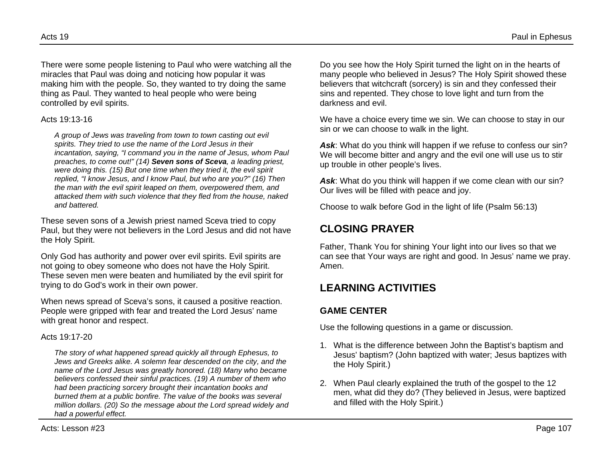There were some people listening to Paul who were watching all the miracles that Paul was doing and noticing how popular it was making him with the people. So, they wanted to try doing the same thing as Paul. They wanted to heal people who were being controlled by evil spirits.

#### Acts 19:13-16

*A group of Jews was traveling from town to town casting out evil spirits. They tried to use the name of the Lord Jesus in their incantation, saying, "I command you in the name of Jesus, whom Paul preaches, to come out!" (14) Seven sons of Sceva, a leading priest, were doing this. (15) But one time when they tried it, the evil spirit replied, "I know Jesus, and I know Paul, but who are you?" (16) Then the man with the evil spirit leaped on them, overpowered them, and attacked them with such violence that they fled from the house, naked and battered.*

These seven sons of a Jewish priest named Sceva tried to copy Paul, but they were not believers in the Lord Jesus and did not have the Holy Spirit.

Only God has authority and power over evil spirits. Evil spirits are not going to obey someone who does not have the Holy Spirit. These seven men were beaten and humiliated by the evil spirit for trying to do God's work in their own power.

When news spread of Sceva's sons, it caused a positive reaction. People were gripped with fear and treated the Lord Jesus' name with great honor and respect.

#### Acts 19:17-20

*The story of what happened spread quickly all through Ephesus, to Jews and Greeks alike. A solemn fear descended on the city, and the name of the Lord Jesus was greatly honored. (18) Many who became believers confessed their sinful practices. (19) A number of them who had been practicing sorcery brought their incantation books and burned them at a public bonfire. The value of the books was several million dollars. (20) So the message about the Lord spread widely and had a powerful effect.*

Do you see how the Holy Spirit turned the light on in the hearts of many people who believed in Jesus? The Holy Spirit showed these believers that witchcraft (sorcery) is sin and they confessed their sins and repented. They chose to love light and turn from the darkness and evil.

We have a choice every time we sin. We can choose to stay in our sin or we can choose to walk in the light.

Ask: What do you think will happen if we refuse to confess our sin? We will become bitter and angry and the evil one will use us to stir up trouble in other people's lives.

Ask: What do you think will happen if we come clean with our sin? Our lives will be filled with peace and joy.

Choose to walk before God in the light of life (Psalm 56:13)

### **CLOSING PRAYER**

Father, Thank You for shining Your light into our lives so that we can see that Your ways are right and good. In Jesus' name we pray. Amen.

## **LEARNING ACTIVITIES**

### **GAME CENTER**

Use the following questions in a game or discussion.

- 1. What is the difference between John the Baptist's baptism and Jesus' baptism? (John baptized with water; Jesus baptizes with the Holy Spirit.)
- 2. When Paul clearly explained the truth of the gospel to the 12 men, what did they do? (They believed in Jesus, were baptized and filled with the Holy Spirit.)